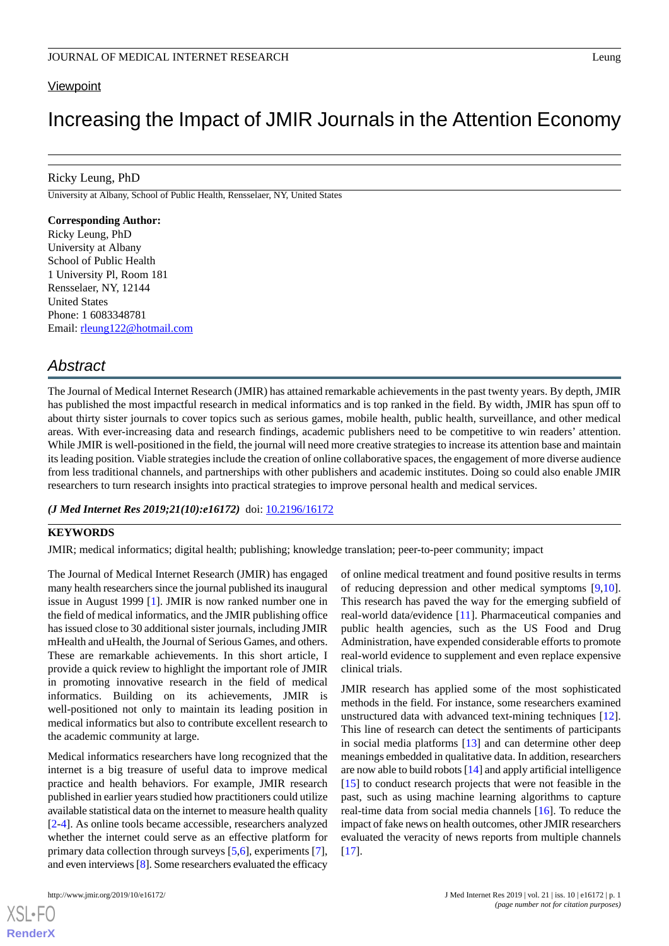#### **Viewpoint**

# Increasing the Impact of JMIR Journals in the Attention Economy

#### Ricky Leung, PhD

University at Albany, School of Public Health, Rensselaer, NY, United States

#### **Corresponding Author:**

Ricky Leung, PhD University at Albany School of Public Health 1 University Pl, Room 181 Rensselaer, NY, 12144 United States Phone: 1 6083348781 Email: [rleung122@hotmail.com](mailto:rleung122@hotmail.com)

# *Abstract*

The Journal of Medical Internet Research (JMIR) has attained remarkable achievements in the past twenty years. By depth, JMIR has published the most impactful research in medical informatics and is top ranked in the field. By width, JMIR has spun off to about thirty sister journals to cover topics such as serious games, mobile health, public health, surveillance, and other medical areas. With ever-increasing data and research findings, academic publishers need to be competitive to win readers' attention. While JMIR is well-positioned in the field, the journal will need more creative strategies to increase its attention base and maintain its leading position. Viable strategies include the creation of online collaborative spaces, the engagement of more diverse audience from less traditional channels, and partnerships with other publishers and academic institutes. Doing so could also enable JMIR researchers to turn research insights into practical strategies to improve personal health and medical services.

#### *(J Med Internet Res 2019;21(10):e16172)* doi: [10.2196/16172](http://dx.doi.org/10.2196/16172)

### **KEYWORDS**

JMIR; medical informatics; digital health; publishing; knowledge translation; peer-to-peer community; impact

The Journal of Medical Internet Research (JMIR) has engaged many health researchers since the journal published its inaugural issue in August 1999 [\[1](#page-1-0)]. JMIR is now ranked number one in the field of medical informatics, and the JMIR publishing office has issued close to 30 additional sister journals, including JMIR mHealth and uHealth, the Journal of Serious Games, and others. These are remarkable achievements. In this short article, I provide a quick review to highlight the important role of JMIR in promoting innovative research in the field of medical informatics. Building on its achievements, JMIR is well-positioned not only to maintain its leading position in medical informatics but also to contribute excellent research to the academic community at large.

Medical informatics researchers have long recognized that the internet is a big treasure of useful data to improve medical practice and health behaviors. For example, JMIR research published in earlier years studied how practitioners could utilize available statistical data on the internet to measure health quality [[2](#page-1-1)[-4](#page-1-2)]. As online tools became accessible, researchers analyzed whether the internet could serve as an effective platform for primary data collection through surveys [\[5](#page-1-3),[6](#page-1-4)], experiments [[7\]](#page-1-5), and even interviews [[8\]](#page-1-6). Some researchers evaluated the efficacy

[XSL](http://www.w3.org/Style/XSL)•FO **[RenderX](http://www.renderx.com/)**

of online medical treatment and found positive results in terms of reducing depression and other medical symptoms [\[9](#page-2-0),[10\]](#page-2-1). This research has paved the way for the emerging subfield of real-world data/evidence [\[11](#page-2-2)]. Pharmaceutical companies and public health agencies, such as the US Food and Drug Administration, have expended considerable efforts to promote real-world evidence to supplement and even replace expensive clinical trials.

JMIR research has applied some of the most sophisticated methods in the field. For instance, some researchers examined unstructured data with advanced text-mining techniques [[12\]](#page-2-3). This line of research can detect the sentiments of participants in social media platforms [[13\]](#page-2-4) and can determine other deep meanings embedded in qualitative data. In addition, researchers are now able to build robots [\[14](#page-2-5)] and apply artificial intelligence [[15\]](#page-2-6) to conduct research projects that were not feasible in the past, such as using machine learning algorithms to capture real-time data from social media channels [\[16](#page-2-7)]. To reduce the impact of fake news on health outcomes, other JMIR researchers evaluated the veracity of news reports from multiple channels [[17\]](#page-2-8).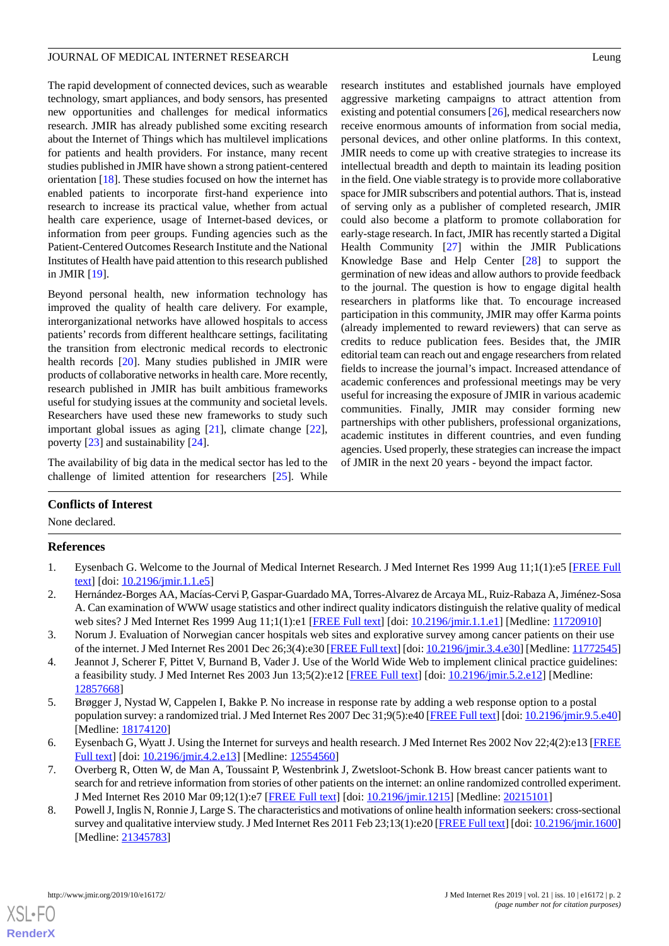#### JOURNAL OF MEDICAL INTERNET RESEARCH Leung

The rapid development of connected devices, such as wearable technology, smart appliances, and body sensors, has presented new opportunities and challenges for medical informatics research. JMIR has already published some exciting research about the Internet of Things which has multilevel implications for patients and health providers. For instance, many recent studies published in JMIR have shown a strong patient-centered orientation [[18\]](#page-2-9). These studies focused on how the internet has enabled patients to incorporate first-hand experience into research to increase its practical value, whether from actual health care experience, usage of Internet-based devices, or information from peer groups. Funding agencies such as the Patient-Centered Outcomes Research Institute and the National Institutes of Health have paid attention to this research published in JMIR [\[19](#page-2-10)].

Beyond personal health, new information technology has improved the quality of health care delivery. For example, interorganizational networks have allowed hospitals to access patients' records from different healthcare settings, facilitating the transition from electronic medical records to electronic health records [[20\]](#page-2-11). Many studies published in JMIR were products of collaborative networks in health care. More recently, research published in JMIR has built ambitious frameworks useful for studying issues at the community and societal levels. Researchers have used these new frameworks to study such important global issues as aging [[21\]](#page-2-12), climate change [[22\]](#page-2-13), poverty [[23\]](#page-2-14) and sustainability [\[24](#page-2-15)].

The availability of big data in the medical sector has led to the challenge of limited attention for researchers [[25\]](#page-2-16). While

# research institutes and established journals have employed aggressive marketing campaigns to attract attention from existing and potential consumers [[26\]](#page-2-17), medical researchers now receive enormous amounts of information from social media, personal devices, and other online platforms. In this context, JMIR needs to come up with creative strategies to increase its intellectual breadth and depth to maintain its leading position in the field. One viable strategy is to provide more collaborative space for JMIR subscribers and potential authors. That is, instead of serving only as a publisher of completed research, JMIR could also become a platform to promote collaboration for early-stage research. In fact, JMIR has recently started a Digital Health Community [\[27](#page-2-18)] within the JMIR Publications Knowledge Base and Help Center [\[28](#page-2-19)] to support the germination of new ideas and allow authors to provide feedback to the journal. The question is how to engage digital health researchers in platforms like that. To encourage increased participation in this community, JMIR may offer Karma points (already implemented to reward reviewers) that can serve as credits to reduce publication fees. Besides that, the JMIR editorial team can reach out and engage researchers from related fields to increase the journal's impact. Increased attendance of academic conferences and professional meetings may be very useful for increasing the exposure of JMIR in various academic communities. Finally, JMIR may consider forming new partnerships with other publishers, professional organizations, academic institutes in different countries, and even funding agencies. Used properly, these strategies can increase the impact of JMIR in the next 20 years - beyond the impact factor.

# <span id="page-1-0"></span>**Conflicts of Interest**

None declared.

# <span id="page-1-1"></span>**References**

- 1. Eysenbach G. Welcome to the Journal of Medical Internet Research. J Med Internet Res 1999 Aug 11;1(1):e5 [[FREE Full](https://www.jmir.org/1999/1/e5/) [text](https://www.jmir.org/1999/1/e5/)] [doi: [10.2196/jmir.1.1.e5\]](http://dx.doi.org/10.2196/jmir.1.1.e5)
- <span id="page-1-2"></span>2. Hernández-Borges AA, Macías-Cervi P, Gaspar-Guardado MA, Torres-Alvarez de Arcaya ML, Ruiz-Rabaza A, Jiménez-Sosa A. Can examination of WWW usage statistics and other indirect quality indicators distinguish the relative quality of medical web sites? J Med Internet Res 1999 Aug 11;1(1):e1 [\[FREE Full text\]](https://www.jmir.org/1999/1/e1/) [doi: [10.2196/jmir.1.1.e1](http://dx.doi.org/10.2196/jmir.1.1.e1)] [Medline: [11720910](http://www.ncbi.nlm.nih.gov/entrez/query.fcgi?cmd=Retrieve&db=PubMed&list_uids=11720910&dopt=Abstract)]
- <span id="page-1-3"></span>3. Norum J. Evaluation of Norwegian cancer hospitals web sites and explorative survey among cancer patients on their use of the internet. J Med Internet Res 2001 Dec 26;3(4):e30 [[FREE Full text](https://www.jmir.org/2001/4/e30/)] [doi: [10.2196/jmir.3.4.e30\]](http://dx.doi.org/10.2196/jmir.3.4.e30) [Medline: [11772545](http://www.ncbi.nlm.nih.gov/entrez/query.fcgi?cmd=Retrieve&db=PubMed&list_uids=11772545&dopt=Abstract)]
- <span id="page-1-4"></span>4. Jeannot J, Scherer F, Pittet V, Burnand B, Vader J. Use of the World Wide Web to implement clinical practice guidelines: a feasibility study. J Med Internet Res 2003 Jun 13;5(2):e12 [[FREE Full text](https://www.jmir.org/2003/2/e12/)] [doi: [10.2196/jmir.5.2.e12\]](http://dx.doi.org/10.2196/jmir.5.2.e12) [Medline: [12857668](http://www.ncbi.nlm.nih.gov/entrez/query.fcgi?cmd=Retrieve&db=PubMed&list_uids=12857668&dopt=Abstract)]
- <span id="page-1-5"></span>5. Brøgger J, Nystad W, Cappelen I, Bakke P. No increase in response rate by adding a web response option to a postal population survey: a randomized trial. J Med Internet Res 2007 Dec 31;9(5):e40 [[FREE Full text\]](https://www.jmir.org/2007/5/e40/) [doi: [10.2196/jmir.9.5.e40\]](http://dx.doi.org/10.2196/jmir.9.5.e40) [Medline: [18174120](http://www.ncbi.nlm.nih.gov/entrez/query.fcgi?cmd=Retrieve&db=PubMed&list_uids=18174120&dopt=Abstract)]
- <span id="page-1-6"></span>6. Eysenbach G, Wyatt J. Using the Internet for surveys and health research. J Med Internet Res 2002 Nov 22;4(2):e13 [\[FREE](https://www.jmir.org/2002/2/e13/) [Full text\]](https://www.jmir.org/2002/2/e13/) [doi: [10.2196/jmir.4.2.e13\]](http://dx.doi.org/10.2196/jmir.4.2.e13) [Medline: [12554560](http://www.ncbi.nlm.nih.gov/entrez/query.fcgi?cmd=Retrieve&db=PubMed&list_uids=12554560&dopt=Abstract)]
- 7. Overberg R, Otten W, de Man A, Toussaint P, Westenbrink J, Zwetsloot-Schonk B. How breast cancer patients want to search for and retrieve information from stories of other patients on the internet: an online randomized controlled experiment. J Med Internet Res 2010 Mar 09;12(1):e7 [[FREE Full text](https://www.jmir.org/2010/1/e7/)] [doi: [10.2196/jmir.1215](http://dx.doi.org/10.2196/jmir.1215)] [Medline: [20215101](http://www.ncbi.nlm.nih.gov/entrez/query.fcgi?cmd=Retrieve&db=PubMed&list_uids=20215101&dopt=Abstract)]
- 8. Powell J, Inglis N, Ronnie J, Large S. The characteristics and motivations of online health information seekers: cross-sectional survey and qualitative interview study. J Med Internet Res 2011 Feb 23;13(1):e20 [\[FREE Full text\]](https://www.jmir.org/2011/1/e20/) [doi: [10.2196/jmir.1600](http://dx.doi.org/10.2196/jmir.1600)] [Medline: [21345783](http://www.ncbi.nlm.nih.gov/entrez/query.fcgi?cmd=Retrieve&db=PubMed&list_uids=21345783&dopt=Abstract)]

[XSL](http://www.w3.org/Style/XSL)•FO **[RenderX](http://www.renderx.com/)**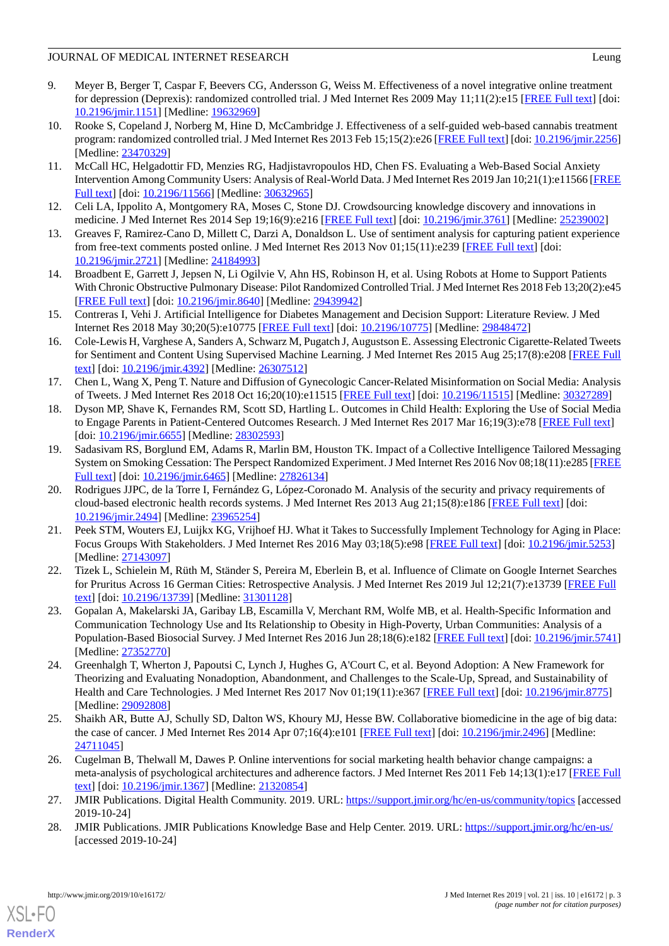# JOURNAL OF MEDICAL INTERNET RESEARCH Leung

- <span id="page-2-0"></span>9. Meyer B, Berger T, Caspar F, Beevers CG, Andersson G, Weiss M. Effectiveness of a novel integrative online treatment for depression (Deprexis): randomized controlled trial. J Med Internet Res 2009 May 11;11(2):e15 [[FREE Full text](https://www.jmir.org/2009/2/e15/)] [doi: [10.2196/jmir.1151](http://dx.doi.org/10.2196/jmir.1151)] [Medline: [19632969](http://www.ncbi.nlm.nih.gov/entrez/query.fcgi?cmd=Retrieve&db=PubMed&list_uids=19632969&dopt=Abstract)]
- <span id="page-2-1"></span>10. Rooke S, Copeland J, Norberg M, Hine D, McCambridge J. Effectiveness of a self-guided web-based cannabis treatment program: randomized controlled trial. J Med Internet Res 2013 Feb 15;15(2):e26 [[FREE Full text](https://www.jmir.org/2013/2/e26/)] [doi: [10.2196/jmir.2256](http://dx.doi.org/10.2196/jmir.2256)] [Medline: [23470329](http://www.ncbi.nlm.nih.gov/entrez/query.fcgi?cmd=Retrieve&db=PubMed&list_uids=23470329&dopt=Abstract)]
- <span id="page-2-2"></span>11. McCall HC, Helgadottir FD, Menzies RG, Hadjistavropoulos HD, Chen FS. Evaluating a Web-Based Social Anxiety Intervention Among Community Users: Analysis of Real-World Data. J Med Internet Res 2019 Jan 10;21(1):e11566 [\[FREE](https://www.jmir.org/2019/1/e11566/) [Full text\]](https://www.jmir.org/2019/1/e11566/) [doi: [10.2196/11566\]](http://dx.doi.org/10.2196/11566) [Medline: [30632965](http://www.ncbi.nlm.nih.gov/entrez/query.fcgi?cmd=Retrieve&db=PubMed&list_uids=30632965&dopt=Abstract)]
- <span id="page-2-4"></span><span id="page-2-3"></span>12. Celi LA, Ippolito A, Montgomery RA, Moses C, Stone DJ. Crowdsourcing knowledge discovery and innovations in medicine. J Med Internet Res 2014 Sep 19;16(9):e216 [[FREE Full text](https://www.jmir.org/2014/9/e216/)] [doi: [10.2196/jmir.3761](http://dx.doi.org/10.2196/jmir.3761)] [Medline: [25239002](http://www.ncbi.nlm.nih.gov/entrez/query.fcgi?cmd=Retrieve&db=PubMed&list_uids=25239002&dopt=Abstract)]
- <span id="page-2-5"></span>13. Greaves F, Ramirez-Cano D, Millett C, Darzi A, Donaldson L. Use of sentiment analysis for capturing patient experience from free-text comments posted online. J Med Internet Res 2013 Nov 01;15(11):e239 [[FREE Full text](https://www.jmir.org/2013/11/e239/)] [doi: [10.2196/jmir.2721](http://dx.doi.org/10.2196/jmir.2721)] [Medline: [24184993](http://www.ncbi.nlm.nih.gov/entrez/query.fcgi?cmd=Retrieve&db=PubMed&list_uids=24184993&dopt=Abstract)]
- <span id="page-2-6"></span>14. Broadbent E, Garrett J, Jepsen N, Li Ogilvie V, Ahn HS, Robinson H, et al. Using Robots at Home to Support Patients With Chronic Obstructive Pulmonary Disease: Pilot Randomized Controlled Trial. J Med Internet Res 2018 Feb 13;20(2):e45 [[FREE Full text](https://www.jmir.org/2018/2/e45/)] [doi: [10.2196/jmir.8640](http://dx.doi.org/10.2196/jmir.8640)] [Medline: [29439942](http://www.ncbi.nlm.nih.gov/entrez/query.fcgi?cmd=Retrieve&db=PubMed&list_uids=29439942&dopt=Abstract)]
- <span id="page-2-7"></span>15. Contreras I, Vehi J. Artificial Intelligence for Diabetes Management and Decision Support: Literature Review. J Med Internet Res 2018 May 30;20(5):e10775 [\[FREE Full text\]](https://www.jmir.org/2018/5/e10775/) [doi: [10.2196/10775](http://dx.doi.org/10.2196/10775)] [Medline: [29848472](http://www.ncbi.nlm.nih.gov/entrez/query.fcgi?cmd=Retrieve&db=PubMed&list_uids=29848472&dopt=Abstract)]
- <span id="page-2-8"></span>16. Cole-Lewis H, Varghese A, Sanders A, Schwarz M, Pugatch J, Augustson E. Assessing Electronic Cigarette-Related Tweets for Sentiment and Content Using Supervised Machine Learning. J Med Internet Res 2015 Aug 25;17(8):e208 [[FREE Full](https://www.jmir.org/2015/8/e208/) [text](https://www.jmir.org/2015/8/e208/)] [doi: [10.2196/jmir.4392](http://dx.doi.org/10.2196/jmir.4392)] [Medline: [26307512](http://www.ncbi.nlm.nih.gov/entrez/query.fcgi?cmd=Retrieve&db=PubMed&list_uids=26307512&dopt=Abstract)]
- <span id="page-2-9"></span>17. Chen L, Wang X, Peng T. Nature and Diffusion of Gynecologic Cancer-Related Misinformation on Social Media: Analysis of Tweets. J Med Internet Res 2018 Oct 16;20(10):e11515 [[FREE Full text](https://www.jmir.org/2018/10/e11515/)] [doi: [10.2196/11515\]](http://dx.doi.org/10.2196/11515) [Medline: [30327289](http://www.ncbi.nlm.nih.gov/entrez/query.fcgi?cmd=Retrieve&db=PubMed&list_uids=30327289&dopt=Abstract)]
- <span id="page-2-10"></span>18. Dyson MP, Shave K, Fernandes RM, Scott SD, Hartling L. Outcomes in Child Health: Exploring the Use of Social Media to Engage Parents in Patient-Centered Outcomes Research. J Med Internet Res 2017 Mar 16;19(3):e78 [\[FREE Full text\]](https://www.jmir.org/2017/3/e78/) [doi: [10.2196/jmir.6655\]](http://dx.doi.org/10.2196/jmir.6655) [Medline: [28302593\]](http://www.ncbi.nlm.nih.gov/entrez/query.fcgi?cmd=Retrieve&db=PubMed&list_uids=28302593&dopt=Abstract)
- <span id="page-2-11"></span>19. Sadasivam RS, Borglund EM, Adams R, Marlin BM, Houston TK. Impact of a Collective Intelligence Tailored Messaging System on Smoking Cessation: The Perspect Randomized Experiment. J Med Internet Res 2016 Nov 08;18(11):e285 [\[FREE](https://www.jmir.org/2016/11/e285/) [Full text\]](https://www.jmir.org/2016/11/e285/) [doi: [10.2196/jmir.6465](http://dx.doi.org/10.2196/jmir.6465)] [Medline: [27826134\]](http://www.ncbi.nlm.nih.gov/entrez/query.fcgi?cmd=Retrieve&db=PubMed&list_uids=27826134&dopt=Abstract)
- <span id="page-2-12"></span>20. Rodrigues JJPC, de la Torre I, Fernández G, López-Coronado M. Analysis of the security and privacy requirements of cloud-based electronic health records systems. J Med Internet Res 2013 Aug 21;15(8):e186 [[FREE Full text](https://www.jmir.org/2013/8/e186/)] [doi: [10.2196/jmir.2494](http://dx.doi.org/10.2196/jmir.2494)] [Medline: [23965254](http://www.ncbi.nlm.nih.gov/entrez/query.fcgi?cmd=Retrieve&db=PubMed&list_uids=23965254&dopt=Abstract)]
- <span id="page-2-14"></span><span id="page-2-13"></span>21. Peek STM, Wouters EJ, Luijkx KG, Vrijhoef HJ. What it Takes to Successfully Implement Technology for Aging in Place: Focus Groups With Stakeholders. J Med Internet Res 2016 May 03;18(5):e98 [\[FREE Full text\]](https://www.jmir.org/2016/5/e98/) [doi: [10.2196/jmir.5253](http://dx.doi.org/10.2196/jmir.5253)] [Medline: [27143097](http://www.ncbi.nlm.nih.gov/entrez/query.fcgi?cmd=Retrieve&db=PubMed&list_uids=27143097&dopt=Abstract)]
- 22. Tizek L, Schielein M, Rüth M, Ständer S, Pereira M, Eberlein B, et al. Influence of Climate on Google Internet Searches for Pruritus Across 16 German Cities: Retrospective Analysis. J Med Internet Res 2019 Jul 12;21(7):e13739 [[FREE Full](https://www.jmir.org/2019/7/e13739/) [text](https://www.jmir.org/2019/7/e13739/)] [doi: [10.2196/13739\]](http://dx.doi.org/10.2196/13739) [Medline: [31301128\]](http://www.ncbi.nlm.nih.gov/entrez/query.fcgi?cmd=Retrieve&db=PubMed&list_uids=31301128&dopt=Abstract)
- <span id="page-2-15"></span>23. Gopalan A, Makelarski JA, Garibay LB, Escamilla V, Merchant RM, Wolfe MB, et al. Health-Specific Information and Communication Technology Use and Its Relationship to Obesity in High-Poverty, Urban Communities: Analysis of a Population-Based Biosocial Survey. J Med Internet Res 2016 Jun 28;18(6):e182 [\[FREE Full text\]](https://www.jmir.org/2016/6/e182/) [doi: [10.2196/jmir.5741](http://dx.doi.org/10.2196/jmir.5741)] [Medline: [27352770](http://www.ncbi.nlm.nih.gov/entrez/query.fcgi?cmd=Retrieve&db=PubMed&list_uids=27352770&dopt=Abstract)]
- <span id="page-2-17"></span><span id="page-2-16"></span>24. Greenhalgh T, Wherton J, Papoutsi C, Lynch J, Hughes G, A'Court C, et al. Beyond Adoption: A New Framework for Theorizing and Evaluating Nonadoption, Abandonment, and Challenges to the Scale-Up, Spread, and Sustainability of Health and Care Technologies. J Med Internet Res 2017 Nov 01;19(11):e367 [\[FREE Full text](https://www.jmir.org/2017/11/e367/)] [doi: [10.2196/jmir.8775\]](http://dx.doi.org/10.2196/jmir.8775) [Medline: [29092808](http://www.ncbi.nlm.nih.gov/entrez/query.fcgi?cmd=Retrieve&db=PubMed&list_uids=29092808&dopt=Abstract)]
- <span id="page-2-18"></span>25. Shaikh AR, Butte AJ, Schully SD, Dalton WS, Khoury MJ, Hesse BW. Collaborative biomedicine in the age of big data: the case of cancer. J Med Internet Res 2014 Apr 07;16(4):e101 [[FREE Full text](https://www.jmir.org/2014/4/e101/)] [doi: [10.2196/jmir.2496](http://dx.doi.org/10.2196/jmir.2496)] [Medline: [24711045](http://www.ncbi.nlm.nih.gov/entrez/query.fcgi?cmd=Retrieve&db=PubMed&list_uids=24711045&dopt=Abstract)]
- <span id="page-2-19"></span>26. Cugelman B, Thelwall M, Dawes P. Online interventions for social marketing health behavior change campaigns: a meta-analysis of psychological architectures and adherence factors. J Med Internet Res 2011 Feb 14;13(1):e17 [\[FREE Full](https://www.jmir.org/2011/1/e17/) [text](https://www.jmir.org/2011/1/e17/)] [doi: [10.2196/jmir.1367](http://dx.doi.org/10.2196/jmir.1367)] [Medline: [21320854](http://www.ncbi.nlm.nih.gov/entrez/query.fcgi?cmd=Retrieve&db=PubMed&list_uids=21320854&dopt=Abstract)]
- 27. JMIR Publications. Digital Health Community. 2019. URL:<https://support.jmir.org/hc/en-us/community/topics> [accessed 2019-10-24]
- 28. JMIR Publications. JMIR Publications Knowledge Base and Help Center. 2019. URL: [https://support.jmir.org/hc/en-us/](https://support.jmir.org/hc/en-us/community/topics) [accessed 2019-10-24]

[XSL](http://www.w3.org/Style/XSL)•FO **[RenderX](http://www.renderx.com/)**